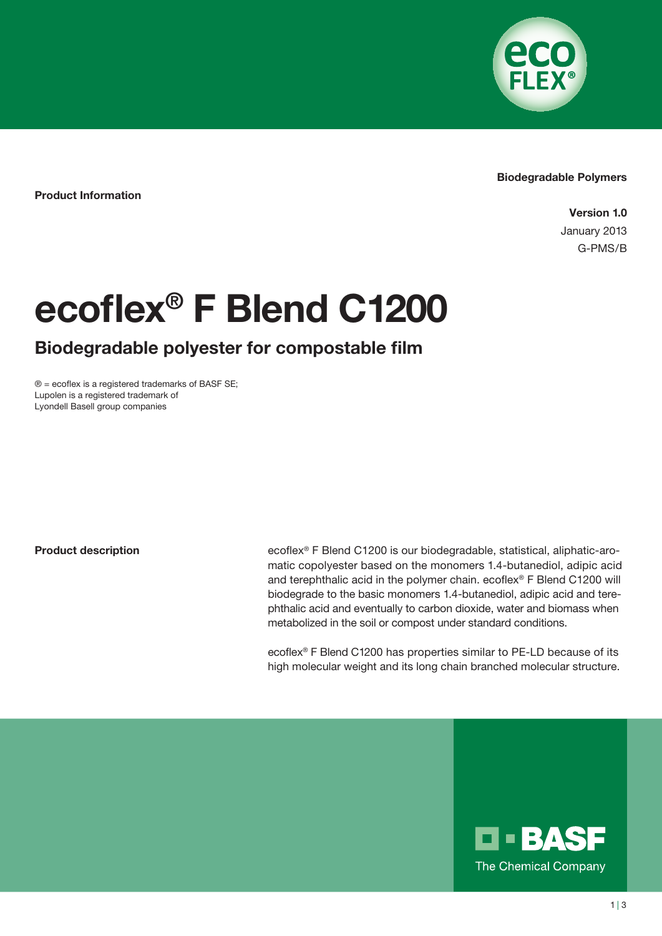

### Biodegradable Polymers

Product Information

Version 1.0 January 2013 G-PMS/B

# ecoflex® F Blend C1200

# Biodegradable polyester for compostable film

 $\circledR$  = ecoflex is a registered trademarks of BASF SE; Lupolen is a registered trademark of Lyondell Basell group companies

Product description

ecoflex® F Blend C1200 is our biodegradable, statistical, aliphatic-aromatic copolyester based on the monomers 1.4-butanediol, adipic acid and terephthalic acid in the polymer chain. ecoflex® F Blend C1200 will biodegrade to the basic monomers 1.4-butanediol, adipic acid and terephthalic acid and eventually to carbon dioxide, water and biomass when metabolized in the soil or compost under standard conditions.

ecoflex® F Blend C1200 has properties similar to PE-LD because of its high molecular weight and its long chain branched molecular structure.

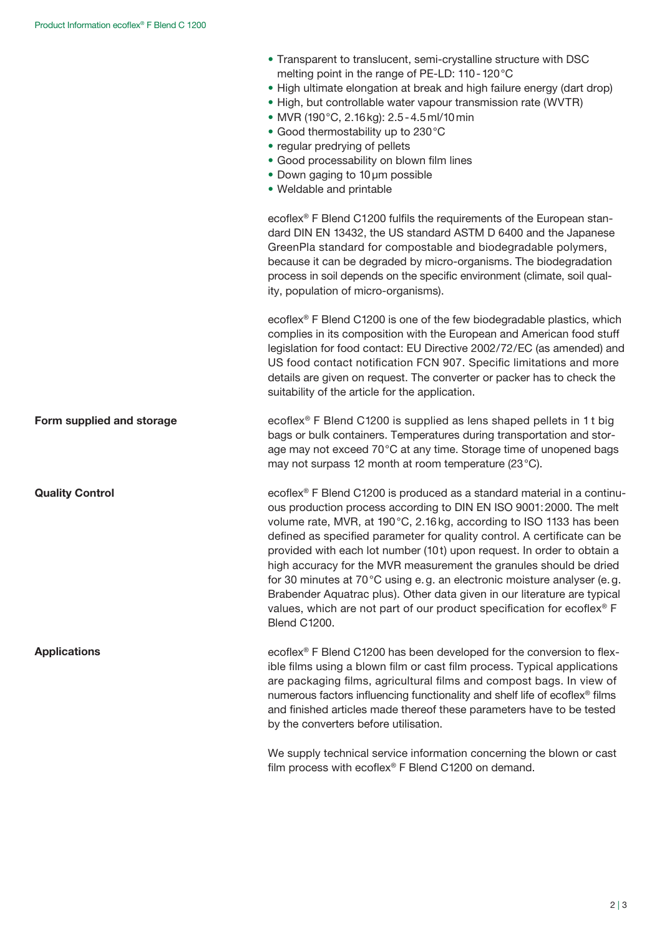Quality Control

**Applications** 

- Transparent to translucent, semi-crystalline structure with DSC melting point in the range of PE-LD: 110 - 120 °C
- High ultimate elongation at break and high failure energy (dart drop)
- High, but controllable water vapour transmission rate (WVTR)
- MVR (190 °C, 2.16kg): 2.5-4.5ml/10min
- Good thermostability up to 230 °C
- regular predrying of pellets
- Good processability on blown film lines
- Down gaging to 10µm possible
- Weldable and printable

ecoflex® F Blend C1200 fulfils the requirements of the European standard DIN EN 13432, the US standard ASTM D 6400 and the Japanese GreenPla standard for compostable and biodegradable polymers, because it can be degraded by micro-organisms. The biodegradation process in soil depends on the specific environment (climate, soil quality, population of micro-organisms).

ecoflex® F Blend C1200 is one of the few biodegradable plastics, which complies in its composition with the European and American food stuff legislation for food contact: EU Directive 2002/72/EC (as amended) and US food contact notification FCN 907. Specific limitations and more details are given on request. The converter or packer has to check the suitability of the article for the application.

ecoflex® F Blend C1200 is supplied as lens shaped pellets in 1 t big bags or bulk containers. Temperatures during transportation and storage may not exceed 70°C at any time. Storage time of unopened bags may not surpass 12 month at room temperature (23 °C). Form supplied and storage

> ecoflex® F Blend C1200 is produced as a standard material in a continuous production process according to DIN EN ISO 9001:2000. The melt volume rate, MVR, at 190°C, 2.16 kg, according to ISO 1133 has been defined as specified parameter for quality control. A certificate can be provided with each lot number (10t) upon request. In order to obtain a high accuracy for the MVR measurement the granules should be dried for 30 minutes at 70 °C using e.g. an electronic moisture analyser (e.g. Brabender Aquatrac plus). Other data given in our literature are typical values, which are not part of our product specification for ecoflex® F Blend C1200.

ecoflex® F Blend C1200 has been developed for the conversion to flexible films using a blown film or cast film process. Typical applications are packaging films, agricultural films and compost bags. In view of numerous factors influencing functionality and shelf life of ecoflex® films and finished articles made thereof these parameters have to be tested by the converters before utilisation.

We supply technical service information concerning the blown or cast film process with ecoflex® F Blend C1200 on demand.